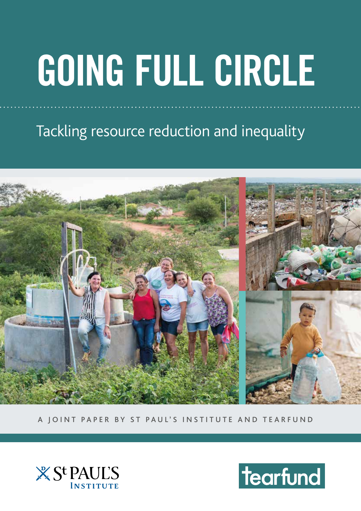# **GOING FULL CIRCLE**

Tackling resource reduction and inequality



A JOINT PAPER BY ST PAUL'S INSTITUTE AND TEARFUND



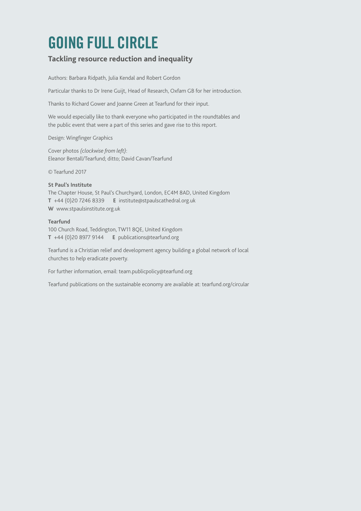### **GOING FULL CIRCLE**

#### **Tackling resource reduction and inequality**

Authors: Barbara Ridpath, Julia Kendal and Robert Gordon

Particular thanks to Dr Irene Guijt, Head of Research, Oxfam GB for her introduction.

Thanks to Richard Gower and Joanne Green at Tearfund for their input.

We would especially like to thank everyone who participated in the roundtables and the public event that were a part of this series and gave rise to this report.

Design: Wingfinger Graphics

Cover photos *(clockwise from left)*: Eleanor Bentall/Tearfund; ditto; David Cavan/Tearfund

© Tearfund 2017

#### **St Paul's Institute**

The Chapter House, St Paul's Churchyard, London, EC4M 8AD, United Kingdom **T** +44 (0)20 7246 8339 **E** institute@stpaulscathedral.org.uk **W** www.stpaulsinstitute.org.uk

#### **Tearfund**

100 Church Road, Teddington, TW11 8QE, United Kingdom **T** +44 (0)20 8977 9144 **E** publications@tearfund.org

Tearfund is a Christian relief and development agency building a global network of local churches to help eradicate poverty.

For further information, email: team.publicpolicy@tearfund.org

Tearfund publications on the sustainable economy are available at: tearfund.org/circular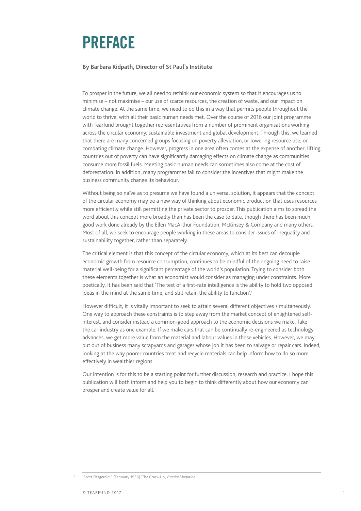### **PREFACE**

#### **By Barbara Ridpath, Director of St Paul's Institute**

To prosper in the future, we all need to rethink our economic system so that it encourages us to minimise – not maximise – our use of scarce resources, the creation of waste, and our impact on climate change. At the same time, we need to do this in a way that permits people throughout the world to thrive, with all their basic human needs met. Over the course of 2016 our joint programme with Tearfund brought together representatives from a number of prominent organisations working across the circular economy, sustainable investment and global development. Through this, we learned that there are many concerned groups focusing on poverty alleviation, or lowering resource use, or combating climate change. However, progress in one area often comes at the expense of another; lifting countries out of poverty can have significantly damaging effects on climate change as communities consume more fossil fuels. Meeting basic human needs can sometimes also come at the cost of deforestation. In addition, many programmes fail to consider the incentives that might make the business community change its behaviour.

Without being so naïve as to presume we have found a universal solution, it appears that the concept of the circular economy may be a new way of thinking about economic production that uses resources more efficiently while still permitting the private sector to prosper. This publication aims to spread the word about this concept more broadly than has been the case to date, though there has been much good work done already by the Ellen MacArthur Foundation, McKinsey & Company and many others. Most of all, we seek to encourage people working in these areas to consider issues of inequality and sustainability together, rather than separately.

The critical element is that this concept of the circular economy, which at its best can decouple economic growth from resource consumption, continues to be mindful of the ongoing need to raise material well-being for a significant percentage of the world's population. Trying to consider both these elements together is what an economist would consider as managing under constraints. More poetically, it has been said that 'The test of a first-rate intelligence is the ability to hold two opposed ideas in the mind at the same time, and still retain the ability to function'.<sup>1</sup>

However difficult, it is vitally important to seek to attain several different objectives simultaneously. One way to approach these constraints is to step away from the market concept of enlightened selfinterest, and consider instead a common-good approach to the economic decisions we make. Take the car industry as one example. If we make cars that can be continually re-engineered as technology advances, we get more value from the material and labour values in those vehicles. However, we may put out of business many scrapyards and garages whose job it has been to salvage or repair cars. Indeed, looking at the way poorer countries treat and recycle materials can help inform how to do so more effectively in wealthier regions.

Our intention is for this to be a starting point for further discussion, research and practice. I hope this publication will both inform and help you to begin to think differently about how our economy can prosper and create value for all.

<sup>1</sup> [Scott Fitzgerald](https://en.wikiquote.org/wiki/F._Scott_Fitzgerald) F (February 1936) ['The Crack-Up'](http://www.esquire.com/features/the-crack-up), *Esquire Magazine*.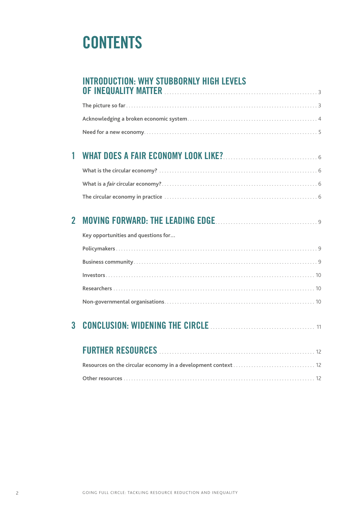### **CONTENTS**

| <b>INTRODUCTION: WHY STUBBORNLY HIGH LEVELS</b> |
|-------------------------------------------------|
| OF INEQUALITY MATTER                            |

### **1 WHAT DOES A FAIR ECONOMY LOOK LIKE?**. . <sup>6</sup>

### **2 MOVING FORWARD: THE LEADING EDGE**. . <sup>9</sup>

| Key opportunities and questions for |
|-------------------------------------|
|                                     |
|                                     |
|                                     |
|                                     |
|                                     |

### **3 CONCLUSION: WIDENING THE CIRCLE**. . <sup>11</sup>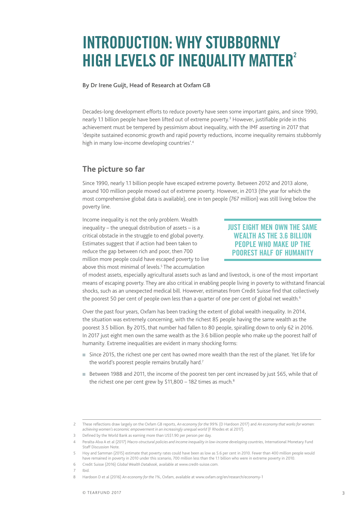### **INTRODUCTION: WHY STUBBORNLY HIGH LEVELS OF INEQUALITY MATTER<sup>2</sup>**

#### **By Dr Irene Guijt, Head of Research at Oxfam GB**

Decades-long development efforts to reduce poverty have seen some important gains, and since 1990, nearly 1.1 billion people have been lifted out of extreme poverty.<sup>3</sup> However, justifiable pride in this achievement must be tempered by pessimism about inequality, with the IMF asserting in 2017 that 'despite sustained economic growth and rapid poverty reductions, income inequality remains stubbornly high in many low-income developing countries'.4

#### **The picture so far**

Since 1990, nearly 1.1 billion people have escaped extreme poverty. Between 2012 and 2013 alone, around 100 million people moved out of extreme poverty. However, in 2013 (the year for which the most comprehensive global data is available), one in ten people (767 million) was still living below the poverty line.

Income inequality is not the only problem. Wealth inequality – the unequal distribution of assets – is a critical obstacle in the struggle to end global poverty. Estimates suggest that if action had been taken to reduce the gap between rich and poor, then 700 million more people could have escaped poverty to live above this most minimal of levels.<sup>5</sup> The accumulation

#### **JUST EIGHT MEN OWN THE SAME WEALTH AS THE 3.6 BILLION PEOPLE WHO MAKE UP THE POOREST HALF OF HUMANITY**

of modest assets, especially agricultural assets such as land and livestock, is one of the most important means of escaping poverty. They are also critical in enabling people living in poverty to withstand financial shocks, such as an unexpected medical bill. However, estimates from Credit Suisse find that collectively the poorest 50 per cent of people own less than a quarter of one per cent of global net wealth.<sup>6</sup>

Over the past four years, Oxfam has been tracking the extent of global wealth inequality. In 2014, the situation was extremely concerning, with the richest 85 people having the same wealth as the poorest 3.5 billion. By 2015, that number had fallen to 80 people, spiralling down to only 62 in 2016. In 2017 just eight men own the same wealth as the 3.6 billion people who make up the poorest half of humanity. Extreme inequalities are evident in many shocking forms:

- <sup>n</sup> Since 2015, the richest one per cent has owned more wealth than the rest of the planet. Yet life for the world's poorest people remains brutally hard.<sup>7</sup>
- Between 1988 and 2011, the income of the poorest ten per cent increased by just \$65, while that of the richest one per cent grew by  $$11,800 - 182$  times as much.<sup>8</sup>

<sup>2</sup> These reflections draw largely on the Oxfam GB reports, *An economy for the 99%* (D Hardoon 2017) and *An economy that works for women: achieving women's economic empowerment in an increasingly unequal world* (F Rhodes et al 2017).

<sup>3</sup> Defined by the World Bank as earning more than US\$1.90 per person per day.

<sup>4</sup> Peralta-Alva A et al (2017) *Macro-structural policies and income inequality in low-income developing countries*, International Monetary Fund Staff Discussion Note.

<sup>5</sup> Hoy and Samman (2015) estimate that poverty rates could have been as low as 5.6 per cent in 2010. Fewer than 400 million people would have remained in poverty in 2010 under this scenario, 700 million less than the 1.1 billion who were in extreme poverty in 2010.

<sup>6</sup> Credit Suisse (2016) *Global Wealth Databook*, available at [www.credit-suisse.com.](http://www.credit-suisse.com)

<sup>7</sup> Ibid.

<sup>8</sup> Hardoon D et al (2016) *An economy for the 1%*, Oxfam, available at [www.oxfam.org/en/research/economy-1](http://www.oxfam.org/en/research/economy-1)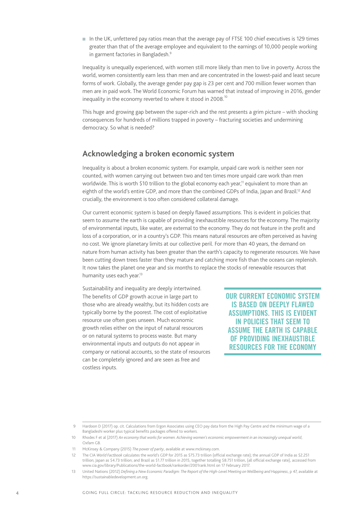n In the UK, unfettered pay ratios mean that the average pay of FTSE 100 chief executives is 129 times greater than that of the average employee and equivalent to the earnings of 10,000 people working in garment factories in Bangladesh.<sup>9</sup>

Inequality is unequally experienced, with women still more likely than men to live in poverty. Across the world, women consistently earn less than men and are concentrated in the lowest-paid and least secure forms of work. Globally, the average gender pay gap is 23 per cent and 700 million fewer women than men are in paid work. The World Economic Forum has warned that instead of improving in 2016, gender inequality in the economy reverted to where it stood in 2008.<sup>10</sup>

This huge and growing gap between the super-rich and the rest presents a grim picture – with shocking consequences for hundreds of millions trapped in poverty – fracturing societies and undermining democracy. So what is needed?

#### **Acknowledging a broken economic system**

Inequality is about a broken economic system. For example, unpaid care work is neither seen nor counted, with women carrying out between two and ten times more unpaid care work than men worldwide. This is worth \$10 trillion to the global economy each year,<sup>11</sup> equivalent to more than an eighth of the world's entire GDP, and more than the combined GDPs of India, Japan and Brazil.12 And crucially, the environment is too often considered collateral damage.

Our current economic system is based on deeply flawed assumptions. This is evident in policies that seem to assume the earth is capable of providing inexhaustible resources for the economy. The majority of environmental inputs, like water, are external to the economy. They do not feature in the profit and loss of a corporation, or in a country's GDP. This means natural resources are often perceived as having no cost. We ignore planetary limits at our collective peril. For more than 40 years, the demand on nature from human activity has been greater than the earth's capacity to regenerate resources. We have been cutting down trees faster than they mature and catching more fish than the oceans can replenish. It now takes the planet one year and six months to replace the stocks of renewable resources that humanity uses each year.<sup>13</sup>

Sustainability and inequality are deeply intertwined. The benefits of GDP growth accrue in large part to those who are already wealthy, but its hidden costs are typically borne by the poorest. The cost of exploitative resource use often goes unseen. Much economic growth relies either on the input of natural resources or on natural systems to process waste. But many environmental inputs and outputs do not appear in company or national accounts, so the state of resources can be completely ignored and are seen as free and costless inputs.

**OUR CURRENT ECONOMIC SYSTEM IS BASED ON DEEPLY FLAWED ASSUMPTIONS. THIS IS EVIDENT IN POLICIES THAT SEEM TO ASSUME THE EARTH IS CAPABLE OF PROVIDING INEXHAUSTIBLE RESOURCES FOR THE ECONOMY**

<sup>9</sup> Hardoon D (2017) op. cit. Calculations from Ergon Associates using CEO pay data from the High Pay Centre and the minimum wage of a Bangladeshi worker plus typical benefits packages offered to workers.

<sup>10</sup> Rhodes F et al (2017) *An economy that works for women. Achieving women's economic empowerment in an increasingly unequal world*, Oxfam GB.

<sup>11</sup> McKinsey & Company (2015) *The power of parity*, available at [www.mckinsey.com](http://www.mckinsey.com).

<sup>12</sup> The CIA *World Factbook* calculates the world's GDP for 2015 as \$75.73 trillion (official exchange rate); the annual GDP of India as \$2.251 trillion; Japan as \$4.73 trillion; and Brazil as \$1.77 trillion in 2015, together totalling \$8.751 trillion, (all official exchange rate), accessed from [www.cia.gov/library/Publications/the-world-factbook/rankorder/2001rank.html](https://www.cia.gov/library/Publications/the-world-factbook/rankorder/2001rank.html) on 17 February 2017.

<sup>13</sup> United Nations (2012) *Defining a New Economic Paradigm: The Report of the High-Level Meeting on Wellbeing and Happiness*, p 47, available at <https://sustainabledevelopment.un.org>.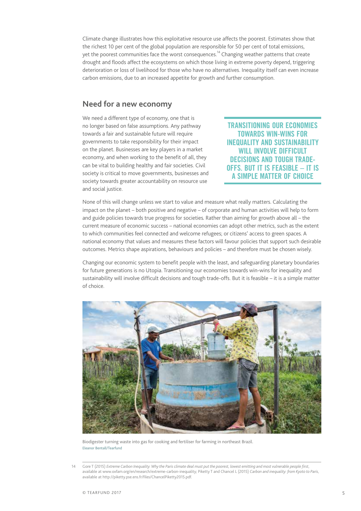Climate change illustrates how this exploitative resource use affects the poorest. Estimates show that the richest 10 per cent of the global population are responsible for 50 per cent of total emissions, yet the poorest communities face the worst consequences.<sup>14</sup> Changing weather patterns that create drought and floods affect the ecosystems on which those living in extreme poverty depend, triggering deterioration or loss of livelihood for those who have no alternatives. Inequality itself can even increase carbon emissions, due to an increased appetite for growth and further consumption.

#### **Need for a new economy**

We need a different type of economy, one that is no longer based on false assumptions. Any pathway towards a fair and sustainable future will require governments to take responsibility for their impact on the planet. Businesses are key players in a market economy, and when working to the benefit of all, they can be vital to building healthy and fair societies. Civil society is critical to move governments, businesses and society towards greater accountability on resource use and social justice.

**TRANSITIONING OUR ECONOMIES TOWARDS WIN-WINS FOR INEQUALITY AND SUSTAINABILITY WILL INVOLVE DIFFICULT DECISIONS AND TOUGH TRADE-OFFS. BUT IT IS FEASIBLE – IT IS A SIMPLE MATTER OF CHOICE**

None of this will change unless we start to value and measure what really matters. Calculating the impact on the planet – both positive and negative – of corporate and human activities will help to form and guide policies towards true progress for societies*.* Rather than aiming for growth above all – the current measure of economic success – national economies can adopt other metrics, such as the extent to which communities feel connected and welcome refugees; or citizens' access to green spaces. A national economy that values and measures these factors will favour policies that support such desirable outcomes. Metrics shape aspirations, behaviours and policies – and therefore must be chosen wisely.

Changing our economic system to benefit people with the least, and safeguarding planetary boundaries for future generations is no Utopia. Transitioning our economies towards win-wins for inequality and sustainability will involve difficult decisions and tough trade-offs. But it is feasible – it is a simple matter of choice.



Biodigester turning waste into gas for cooking and fertiliser for farming in northeast Brazil. Eleanor Bentall/Tearfund

<sup>14</sup> Gore T (2015) *Extreme Carbon Inequality: Why the Paris climate deal must put the poorest, lowest emitting and most vulnerable people first*, available at [www.oxfam.org/en/research/extreme-carbon-inequality](http://www.oxfam.org/en/research/extreme-carbon-inequality); Piketty T and Chancel L (2015) *Carbon and inequality: from Kyoto to Paris*, available at<http://piketty.pse.ens.fr/files/ChancelPiketty2015.pdf>.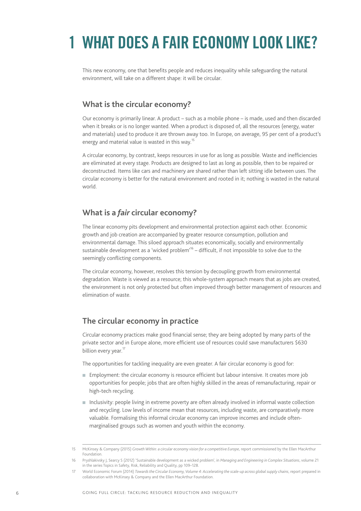# **1 WHAT DOES A FAIR ECONOMY LOOK LIKE?**

This new economy, one that benefits people and reduces inequality while safeguarding the natural environment, will take on a different shape: it will be circular.

#### **What is the circular economy?**

Our economy is primarily linear. A product – such as a mobile phone – is made, used and then discarded when it breaks or is no longer wanted. When a product is disposed of, all the resources (energy, water and materials) used to produce it are thrown away too. In Europe, on average, 95 per cent of a product's energy and material value is wasted in this way.<sup>15</sup>

A circular economy, by contrast, keeps resources in use for as long as possible. Waste and inefficiencies are eliminated at every stage. Products are designed to last as long as possible, then to be repaired or deconstructed. Items like cars and machinery are shared rather than left sitting idle between uses. The circular economy is better for the natural environment and rooted in it; nothing is wasted in the natural world.

#### **What is a** *fair* **circular economy?**

The linear economy pits development and environmental protection against each other. Economic growth and job creation are accompanied by greater resource consumption, pollution and environmental damage. This siloed approach situates economically, socially and environmentally sustainable development as a 'wicked problem<sup>16</sup> – difficult, if not impossible to solve due to the seemingly conflicting components.

The circular economy, however, resolves this tension by decoupling growth from environmental degradation. Waste is viewed as a resource; this whole-system approach means that as jobs are created, the environment is not only protected but often improved through better management of resources and elimination of waste.

#### **The circular economy in practice**

Circular economy practices make good financial sense; they are being adopted by many parts of the private sector and in Europe alone, more efficient use of resources could save manufacturers \$630 billion every year.<sup>17</sup>

The opportunities for tackling inequality are even greater. A fair circular economy is good for:

- <sup>n</sup> Employment: the circular economy is resource efficient but labour intensive. It creates more job opportunities for people; jobs that are often highly skilled in the areas of remanufacturing, repair or high-tech recycling.
- n Inclusivity: people living in extreme poverty are often already involved in informal waste collection and recycling. Low levels of income mean that resources, including waste, are comparatively more valuable. Formalising this informal circular economy can improve incomes and include oftenmarginalised groups such as women and youth within the economy.

<sup>15</sup> McKinsey & Company (2015) *Growth Within: a circular economy vision for a competitive Europe*, report commissioned by the Ellen MacArthur Foundation.

<sup>16</sup> Pryshlakivsky J, Searcy S (2012) 'Sustainable development as a wicked problem', in *Managing and Engineering in Complex Situations*, volume 21 in the series Topics in Safety, Risk, Reliability and Quality, pp 109–128.

<sup>17</sup> World Economic Forum (2014) *Towards the Circular Economy, Volume 4: Accelerating the scale-up across global supply chains*, report prepared in collaboration with McKinsey & Company and the Ellen MacArthur Foundation.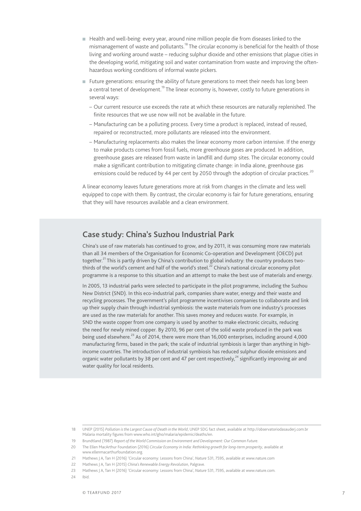- <sup>n</sup> Health and well-being: every year, around nine million people die from diseases linked to the mismanagement of waste and pollutants.<sup>18</sup> The circular economy is beneficial for the health of those living and working around waste – reducing sulphur dioxide and other emissions that plague cities in the developing world, mitigating soil and water contamination from waste and improving the oftenhazardous working conditions of informal waste pickers.
- <sup>n</sup> Future generations: ensuring the ability of future generations to meet their needs has long been a central tenet of development.<sup>19</sup> The linear economy is, however, costly to future generations in several ways:
	- Our current resource use exceeds the rate at which these resources are naturally replenished. The finite resources that we use now will not be available in the future.
	- Manufacturing can be a polluting process. Every time a product is replaced, instead of reused, repaired or reconstructed, more pollutants are released into the environment.
	- Manufacturing replacements also makes the linear economy more carbon intensive. If the energy to make products comes from fossil fuels, more greenhouse gases are produced. In addition, greenhouse gases are released from waste in landfill and dump sites. The circular economy could make a significant contribution to mitigating climate change: in India alone, greenhouse gas emissions could be reduced by 44 per cent by 2050 through the adoption of circular practices.<sup>20</sup>

A linear economy leaves future generations more at risk from changes in the climate and less well equipped to cope with them. By contrast, the circular economy is fair for future generations, ensuring that they will have resources available and a clean environment.

#### **Case study: China's Suzhou Industrial Park**

China's use of raw materials has continued to grow, and by 2011, it was consuming more raw materials than all 34 members of the Organisation for Economic Co-operation and Development (OECD) put together.<sup>21</sup> This is partly driven by China's contribution to global industry: the country produces twothirds of the world's cement and half of the world's steel.<sup>22</sup> China's national circular economy pilot programme is a response to this situation and an attempt to make the best use of materials and energy.

In 2005, 13 industrial parks were selected to participate in the pilot programme, including the Suzhou New District (SND). In this eco-industrial park, companies share water, energy and their waste and recycling processes. The government's pilot programme incentivises companies to collaborate and link up their supply chain through industrial symbiosis: the waste materials from one industry's processes are used as the raw materials for another. This saves money and reduces waste. For example, in SND the waste copper from one company is used by another to make electronic circuits, reducing the need for newly mined copper. By 2010, 96 per cent of the solid waste produced in the park was being used elsewhere.<sup>23</sup> As of 2014, there were more than 16,000 enterprises, including around 4,000 manufacturing firms, based in the park; the scale of industrial symbiosis is larger than anything in highincome countries. The introduction of industrial symbiosis has reduced sulphur dioxide emissions and organic water pollutants by 38 per cent and 47 per cent respectively, $^{24}$  significantly improving air and water quality for local residents.

24 Ibid.

<sup>18</sup> UNEP (2015) *Pollution is the Largest Cause of Death in the World*, UNEP SDG fact sheet, available at<http://observatoriodasauderj.com.br> Malaria mortality figures from www.who.int/gho/malaria/epidemic/deaths/en.

<sup>19</sup> Brundtland (1987) *Report of the World Commission on Environment and Development: Our Common Future*.

<sup>20</sup> The Ellen MacArthur Foundation (2016) *Circular Economy in India: Rethinking growth for long-term prosperity*, available at [www.ellenmacarthurfoundation.org.](http://www.ellenmacarthurfoundation.org)

<sup>21</sup> Mathews J A, Tan H (2016) 'Circular economy: Lessons from China', *Nature* 531, 7595, available at [www.nature.com](http://www.nature.com) 

<sup>22</sup> Mathews J A, Tan H (2015) *China's Renewable Energy Revolution*, Palgrave.

<sup>23</sup> Mathews J A, Tan H (2016) 'Circular economy: Lessons from China', *Nature* 531, 7595, available at [www.nature.com.](http://www.nature.com)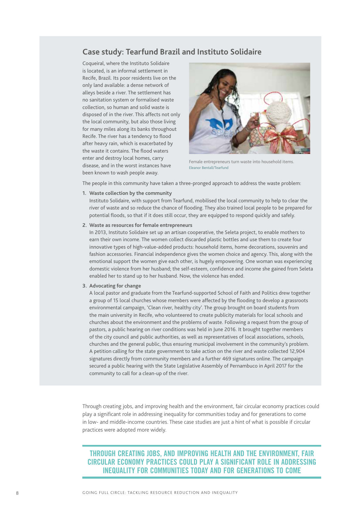#### **Case study: Tearfund Brazil and Instituto Solidaire**

Coqueiral, where the Instituto Solidaire is located, is an informal settlement in Recife, Brazil. Its poor residents live on the only land available: a dense network of alleys beside a river. The settlement has no sanitation system or formalised waste collection, so human and solid waste is disposed of in the river. This affects not only the local community, but also those living for many miles along its banks throughout Recife. The river has a tendency to flood after heavy rain, which is exacerbated by the waste it contains. The flood waters enter and destroy local homes, carry disease, and in the worst instances have been known to wash people away.



Female entrepreneurs turn waste into household items. Eleanor Bentall/Tearfund

The people in this community have taken a three-pronged approach to address the waste problem:

**1. Waste collection by the community**

Instituto Solidaire, with support from Tearfund, mobilised the local community to help to clear the river of waste and so reduce the chance of flooding. They also trained local people to be prepared for potential floods, so that if it does still occur, they are equipped to respond quickly and safely.

#### **2. Waste as resources for female entrepreneurs**

In 2013, Instituto Solidaire set up an artisan cooperative, the Seleta project, to enable mothers to earn their own income. The women collect discarded plastic bottles and use them to create four innovative types of high-value-added products: household items, home decorations, souvenirs and fashion accessories. Financial independence gives the women choice and agency. This, along with the emotional support the women give each other, is hugely empowering. One woman was experiencing domestic violence from her husband; the self-esteem, confidence and income she gained from Seleta enabled her to stand up to her husband. Now, the violence has ended.

#### **3. Advocating for change**

A local pastor and graduate from the Tearfund-supported School of Faith and Politics drew together a group of 15 local churches whose members were affected by the flooding to develop a grassroots environmental campaign, 'Clean river, healthy city'. The group brought on board students from the main university in Recife, who volunteered to create publicity materials for local schools and churches about the environment and the problems of waste. Following a request from the group of pastors, a public hearing on river conditions was held in June 2016. It brought together members of the city council and public authorities, as well as representatives of local associations, schools, churches and the general public, thus ensuring municipal involvement in the community's problem. A petition calling for the state government to take action on the river and waste collected 12,904 signatures directly from community members and a further 469 signatures online. The campaign secured a public hearing with the State Legislative Assembly of Pernambuco in April 2017 for the community to call for a clean-up of the river.

Through creating jobs, and improving health and the environment, fair circular economy practices could play a significant role in addressing inequality for communities today and for generations to come in low- and middle-income countries. These case studies are just a hint of what is possible if circular practices were adopted more widely.

**THROUGH CREATING JOBS, AND IMPROVING HEALTH AND THE ENVIRONMENT, FAIR CIRCULAR ECONOMY PRACTICES COULD PLAY A SIGNIFICANT ROLE IN ADDRESSING INEQUALITY FOR COMMUNITIES TODAY AND FOR GENERATIONS TO COME**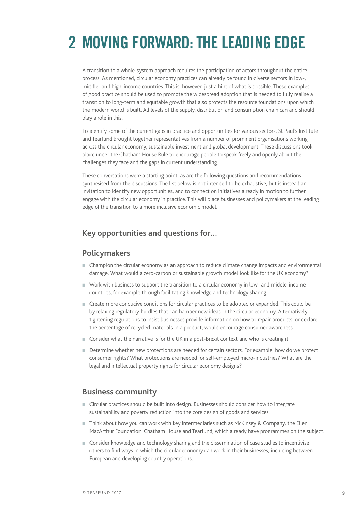# **2 MOVING FORWARD: THE LEADING EDGE**

A transition to a whole-system approach requires the participation of actors throughout the entire process. As mentioned, circular economy practices can already be found in diverse sectors in low-, middle- and high-income countries. This is, however, just a hint of what is possible. These examples of good practice should be used to promote the widespread adoption that is needed to fully realise a transition to long-term and equitable growth that also protects the resource foundations upon which the modern world is built. All levels of the supply, distribution and consumption chain can and should play a role in this.

To identify some of the current gaps in practice and opportunities for various sectors, St Paul's Institute and Tearfund brought together representatives from a number of prominent organisations working across the circular economy, sustainable investment and global development. These discussions took place under the Chatham House Rule to encourage people to speak freely and openly about the challenges they face and the gaps in current understanding.

These conversations were a starting point, as are the following questions and recommendations synthesised from the discussions. The list below is not intended to be exhaustive, but is instead an invitation to identify new opportunities, and to connect on initiatives already in motion to further engage with the circular economy in practice. This will place businesses and policymakers at the leading edge of the transition to a more inclusive economic model.

#### **Key opportunities and questions for…**

#### **Policymakers**

- <sup>n</sup> Champion the circular economy as an approach to reduce climate change impacts and environmental damage. What would a zero-carbon or sustainable growth model look like for the UK economy?
- <sup>n</sup> Work with business to support the transition to a circular economy in low- and middle-income countries, for example through facilitating knowledge and technology sharing.
- <sup>n</sup> Create more conducive conditions for circular practices to be adopted or expanded. This could be by relaxing regulatory hurdles that can hamper new ideas in the circular economy. Alternatively, tightening regulations to insist businesses provide information on how to repair products, or declare the percentage of recycled materials in a product, would encourage consumer awareness.
- Consider what the narrative is for the UK in a post-Brexit context and who is creating it.
- <sup>n</sup> Determine whether new protections are needed for certain sectors. For example, how do we protect consumer rights? What protections are needed for self-employed micro-industries? What are the legal and intellectual property rights for circular economy designs?

#### **Business community**

- <sup>n</sup> Circular practices should be built into design. Businesses should consider how to integrate sustainability and poverty reduction into the core design of goods and services.
- <sup>n</sup> Think about how you can work with key intermediaries such as McKinsey & Company, the Ellen MacArthur Foundation, Chatham House and Tearfund, which already have programmes on the subject.
- <sup>n</sup> Consider knowledge and technology sharing and the dissemination of case studies to incentivise others to find ways in which the circular economy can work in their businesses, including between European and developing country operations.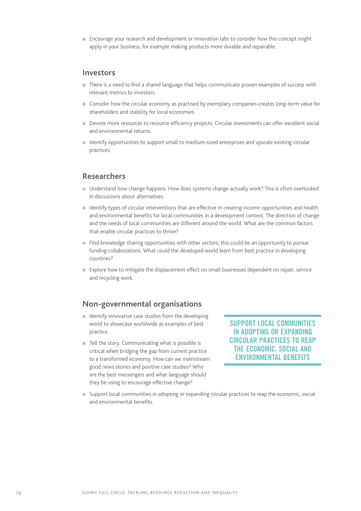<sup>n</sup> Encourage your research and development or innovation labs to consider how this concept might apply in your business, for example making products more durable and repairable.

#### **Investors**

- <sup>n</sup> There is a need to find a shared language that helps communicate proven examples of success with relevant metrics to investors.
- <sup>n</sup> Consider how the circular economy as practised by exemplary companies creates long-term value for shareholders and stability for local economies.
- <sup>n</sup> Devote more resources to resource efficiency projects. Circular investments can offer excellent social and environmental returns.
- <sup>n</sup> Identify opportunities to support small to medium-sized enterprises and upscale existing circular practices.

#### **Researchers**

- <sup>n</sup> Understand how change happens. How does systems change actually work? This is often overlooked in discussions about alternatives.
- <sup>n</sup> Identify types of circular interventions that are effective in creating income opportunities and health and environmental benefits for local communities in a development context. The direction of change and the needs of local communities are different around the world. What are the common factors that enable circular practices to thrive?
- $\blacksquare$  Find knowledge sharing opportunities with other sectors; this could be an opportunity to pursue funding collaborations. What could the developed world learn from best practice in developing countries?
- <sup>n</sup> Explore how to mitigate the displacement effect on small businesses dependent on repair, service and recycling work.

#### **Non-governmental organisations**

- $\blacksquare$  Identify innovative case studies from the developing world to showcase worldwide as examples of best practice.
- $\blacksquare$  Tell the story. Communicating what is possible is critical when bridging the gap from current practice to a transformed economy. How can we mainstream good news stories and positive case studies? Who are the best messengers and what language should they be using to encourage effective change?

**SUPPORT LOCAL COMMUNITIES IN ADOPTING OR EXPANDING CIRCULAR PRACTICES TO REAP THE ECONOMIC, SOCIAL AND ENVIRONMENTAL BENEFITS**

<sup>n</sup> Support local communities in adopting or expanding circular practices to reap the economic, social and environmental benefits.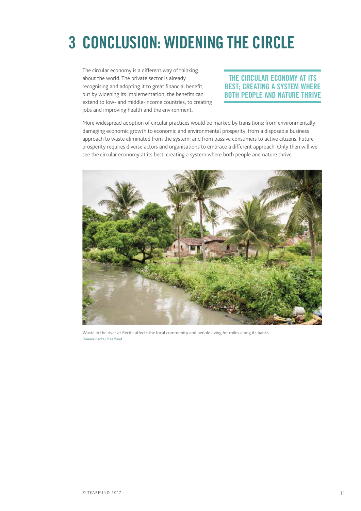# **3 CONCLUSION: WIDENING THE CIRCLE**

The circular economy is a different way of thinking about the world. The private sector is already recognising and adopting it to great financial benefit, but by widening its implementation, the benefits can extend to low- and middle-income countries, to creating jobs and improving health and the environment.

#### **THE CIRCULAR ECONOMY AT ITS BEST; CREATING A SYSTEM WHERE BOTH PEOPLE AND NATURE THRIVE**

More widespread adoption of circular practices would be marked by transitions: from environmentally damaging economic growth to economic and environmental prosperity; from a disposable business approach to waste eliminated from the system; and from passive consumers to active citizens. Future prosperity requires diverse actors and organisations to embrace a different approach. Only then will we see the circular economy at its best, creating a system where both people and nature thrive.



Waste in the river at Recife affects the local community and people living for miles along its banks. Eleanor Bentall/Tearfund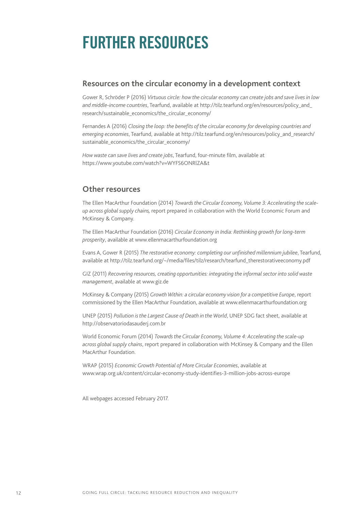### **FURTHER RESOURCES**

#### **Resources on the circular economy in a development context**

Gower R, Schröder P (2016) *Virtuous circle: how the circular economy can create jobs and save lives in low and middle-income countries*, Tearfund, available at [http://tilz.tearfund.org/en/resources/policy\\_and\\_](http://tilz.tearfund.org/en/resources/policy_and_research/sustainable_economics/the_circular_economy/) [research/sustainable\\_economics/the\\_circular\\_economy/](http://tilz.tearfund.org/en/resources/policy_and_research/sustainable_economics/the_circular_economy/)

Fernandes A (2016) *Closing the loop: the benefits of the circular economy for developing countries and emerging economies*, Tearfund, available at [http://tilz.tearfund.org/en/resources/policy\\_and\\_research/](http://tilz.tearfund.org/en/resources/policy_and_research/sustainable_economics/the_circular_economy/) [sustainable\\_economics/the\\_circular\\_economy/](http://tilz.tearfund.org/en/resources/policy_and_research/sustainable_economics/the_circular_economy/)

*How waste can save lives and create jobs*, Tearfund, four-minute film, available at <https://www.youtube.com/watch?v=WYFS6ONRlZA&t>

#### **Other resources**

The Ellen MacArthur Foundation (2014) *Towards the Circular Economy, Volume 3: Accelerating the scaleup across global supply chains,* report prepared in collaboration with the World Economic Forum and McKinsey & Company.

The Ellen MacArthur Foundation (2016) *Circular Economy in India: Rethinking growth for long-term prosperity*, available at [www.ellenmacarthurfoundation.org](http://www.ellenmacarthurfoundation.org)

Evans A, Gower R (2015) *The restorative economy: completing our unfinished millennium jubilee*, Tearfund, available at [http://tilz.tearfund.org/~/media/files/tilz/research/tearfund\\_therestorativeeconomy.pdf](http://tilz.tearfund.org/~/media/files/tilz/research/tearfund_therestorativeeconomy.pdf)

GIZ (2011) *Recovering resources, creating opportunities: integrating the informal sector into solid waste management*, available at [www.giz.de](http://www.giz.de)

McKinsey & Company (2015) *Growth Within: a circular economy vision for a competitive Europe*, report commissioned by the Ellen MacArthur Foundation, available at [www.ellenmacarthurfoundation.org](http://www.ellenmacarthurfoundation.org)

UNEP (2015) *Pollution is the Largest Cause of Death in the World*, UNEP SDG fact sheet, available at <http://observatoriodasauderj.com.br>

World Economic Forum (2014) *Towards the Circular Economy, Volume 4: Accelerating the scale-up across global supply chains*, report prepared in collaboration with McKinsey & Company and the Ellen MacArthur Foundation.

WRAP (2015) *Economic Growth Potential of More Circular Economies*, available at [www.wrap.org.uk/content/circular-economy-study-identifies-3-million-jobs-across-europe](http://www.wrap.org.uk/content/circular-economy-study-identifies-3-million-jobs-across-europe)

All webpages accessed February 2017.